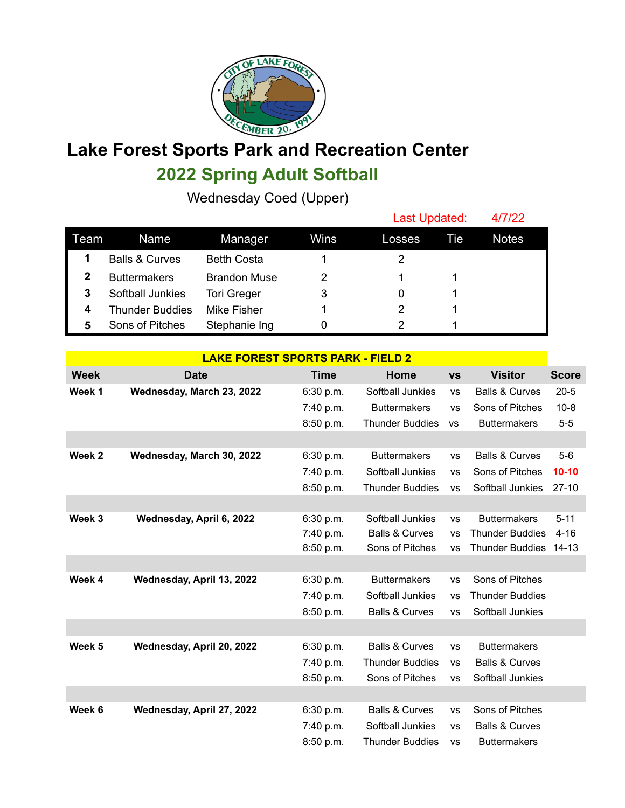

## **Lake Forest Sports Park and Recreation Center 2022 Spring Adult Softball**

Wednesday Coed (Upper)

|      |                           |                     |      | Last Updated: |     | 4/7/22       |
|------|---------------------------|---------------------|------|---------------|-----|--------------|
| Team | Name                      | Manager             | Wins | Losses        | Tie | <b>Notes</b> |
|      | <b>Balls &amp; Curves</b> | <b>Betth Costa</b>  |      |               |     |              |
|      | <b>Buttermakers</b>       | <b>Brandon Muse</b> | 2    |               |     |              |
| 3    | Softball Junkies          | <b>Tori Greger</b>  | 3    |               |     |              |
| 4    | <b>Thunder Buddies</b>    | Mike Fisher         |      | 2             |     |              |
| 5    | Sons of Pitches           | Stephanie Ing       |      |               |     |              |

| <b>LAKE FOREST SPORTS PARK - FIELD 2</b> |                           |             |                           |           |                           |              |
|------------------------------------------|---------------------------|-------------|---------------------------|-----------|---------------------------|--------------|
| <b>Week</b>                              | <b>Date</b>               | <b>Time</b> | Home                      | <b>VS</b> | <b>Visitor</b>            | <b>Score</b> |
| Week 1                                   | Wednesday, March 23, 2022 | 6:30 p.m.   | Softball Junkies          | <b>VS</b> | <b>Balls &amp; Curves</b> | $20 - 5$     |
|                                          |                           | 7:40 p.m.   | <b>Buttermakers</b>       | <b>VS</b> | Sons of Pitches           | $10 - 8$     |
|                                          |                           | 8:50 p.m.   | <b>Thunder Buddies</b>    | <b>VS</b> | <b>Buttermakers</b>       | $5-5$        |
|                                          |                           |             |                           |           |                           |              |
| Week 2                                   | Wednesday, March 30, 2022 | 6:30 p.m.   | <b>Buttermakers</b>       | <b>VS</b> | <b>Balls &amp; Curves</b> | $5-6$        |
|                                          |                           | 7:40 p.m.   | Softball Junkies          | <b>VS</b> | Sons of Pitches           | $10 - 10$    |
|                                          |                           | 8:50 p.m.   | <b>Thunder Buddies</b>    | <b>VS</b> | Softball Junkies          | $27-10$      |
|                                          |                           |             |                           |           |                           |              |
| Week 3                                   | Wednesday, April 6, 2022  | 6:30 p.m.   | Softball Junkies          | <b>VS</b> | <b>Buttermakers</b>       | $5 - 11$     |
|                                          |                           | 7:40 p.m.   | <b>Balls &amp; Curves</b> | <b>VS</b> | <b>Thunder Buddies</b>    | $4 - 16$     |
|                                          |                           | 8:50 p.m.   | Sons of Pitches           | <b>VS</b> | <b>Thunder Buddies</b>    | $14 - 13$    |
|                                          |                           |             |                           |           |                           |              |
| Week 4                                   | Wednesday, April 13, 2022 | 6:30 p.m.   | <b>Buttermakers</b>       | <b>VS</b> | Sons of Pitches           |              |
|                                          |                           | 7:40 p.m.   | Softball Junkies          | <b>VS</b> | <b>Thunder Buddies</b>    |              |
|                                          |                           | 8:50 p.m.   | <b>Balls &amp; Curves</b> | <b>VS</b> | Softball Junkies          |              |
|                                          |                           |             |                           |           |                           |              |
| Week 5                                   | Wednesday, April 20, 2022 | 6:30 p.m.   | <b>Balls &amp; Curves</b> | <b>VS</b> | <b>Buttermakers</b>       |              |
|                                          |                           | 7:40 p.m.   | <b>Thunder Buddies</b>    | <b>VS</b> | <b>Balls &amp; Curves</b> |              |
|                                          |                           | 8:50 p.m.   | Sons of Pitches           | <b>VS</b> | Softball Junkies          |              |
|                                          |                           |             |                           |           |                           |              |
| Week 6                                   | Wednesday, April 27, 2022 | 6:30 p.m.   | <b>Balls &amp; Curves</b> | <b>VS</b> | Sons of Pitches           |              |
|                                          |                           | 7:40 p.m.   | Softball Junkies          | <b>VS</b> | <b>Balls &amp; Curves</b> |              |
|                                          |                           | 8:50 p.m.   | <b>Thunder Buddies</b>    | <b>VS</b> | <b>Buttermakers</b>       |              |
|                                          |                           |             |                           |           |                           |              |